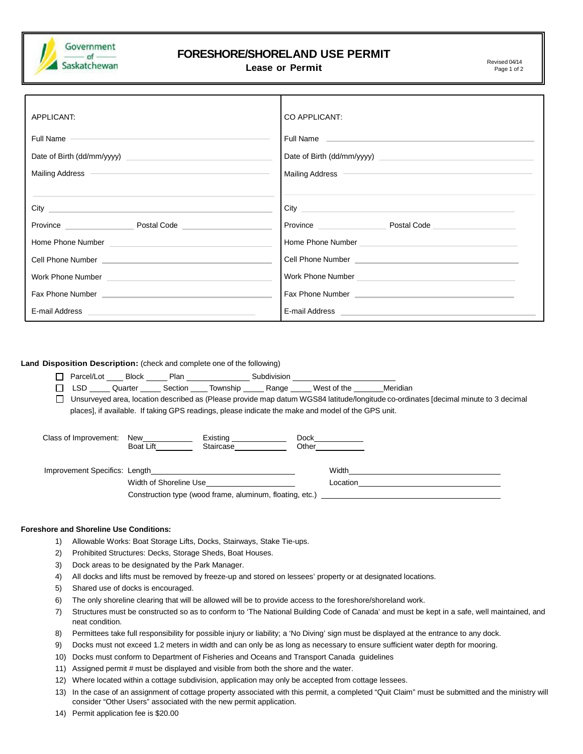

## **FORESHORE/SHORELAND USE PERMIT**

**Lease or Permit**  $\frac{1}{2}$  **Lease or Permit** 

Page 1 of 2

| APPLICANT:                                                                                                                                                                                                                                        | CO APPLICANT:                                                                                                                                                                                                                         |  |  |
|---------------------------------------------------------------------------------------------------------------------------------------------------------------------------------------------------------------------------------------------------|---------------------------------------------------------------------------------------------------------------------------------------------------------------------------------------------------------------------------------------|--|--|
| Full Name<br>Mailing Address <b>Contract Contract Contract Contract Contract Contract Contract Contract Contract Contract Contract Contract Contract Contract Contract Contract Contract Contract Contract Contract Contract Contract Contrac</b> | Full Name and the contract of the contract of the contract of the contract of the contract of the contract of<br>Mailing Address <b>Container and Container and Container and Container and Container and Container and Container</b> |  |  |
| Province Postal Code Province                                                                                                                                                                                                                     |                                                                                                                                                                                                                                       |  |  |
|                                                                                                                                                                                                                                                   |                                                                                                                                                                                                                                       |  |  |
| Cell Phone Number <u>Communications</u> and Cell Phone Number                                                                                                                                                                                     | Cell Phone Number <b>Contract Contract Contract Contract Contract Contract Contract Contract Contract Contract Contract Contract Contract Contract Contract Contract Contract Contract Contract Contract Contract Contract Contr</b>  |  |  |
|                                                                                                                                                                                                                                                   |                                                                                                                                                                                                                                       |  |  |
| Fax Phone Number <b>Experience According to the Contract of According Contract of According Contract of According Contract of According Contract of According Contract of According Contract of According Contract of According </b>              |                                                                                                                                                                                                                                       |  |  |
| E-mail Address <b>E-mail Address</b>                                                                                                                                                                                                              | E-mail Address <b>Communication</b> Communication and Communication Communication Communication                                                                                                                                       |  |  |

**Land Disposition Description:** (check and complete one of the following)

- □ Parcel/Lot Block Plan Subdivision
- □ LSD Quarter Section Township Range West of the Meridian
- □ Unsurveyed area, location described as (Please provide map datum WGS84 latitude/longitude co-ordinates [decimal minute to 3 decimal places], if available. If taking GPS readings, please indicate the make and model of the GPS unit.

| Class of Improvement:         | New<br><b>Boat Lift</b>                                  | Existing ____________<br>Staircase | Dock<br>Other |          |
|-------------------------------|----------------------------------------------------------|------------------------------------|---------------|----------|
| Improvement Specifics: Length |                                                          |                                    |               | Width    |
|                               | Width of Shoreline Use                                   |                                    |               | Location |
|                               | Construction type (wood frame, aluminum, floating, etc.) |                                    |               |          |

## **Foreshore and Shoreline Use Conditions:**

- 1) Allowable Works: Boat Storage Lifts, Docks, Stairways, Stake Tie-ups.
- 2) Prohibited Structures: Decks, Storage Sheds, Boat Houses.
- 3) Dock areas to be designated by the Park Manager.
- 4) All docks and lifts must be removed by freeze-up and stored on lessees' property or at designated locations.
- 5) Shared use of docks is encouraged.
- 6) The only shoreline clearing that will be allowed will be to provide access to the foreshore/shoreland work.
- 7) Structures must be constructed so as to conform to 'The National Building Code of Canada' and must be kept in a safe, well maintained, and neat condition.
- 8) Permittees take full responsibility for possible injury or liability; a 'No Diving' sign must be displayed at the entrance to any dock.
- 9) Docks must not exceed 1.2 meters in width and can only be as long as necessary to ensure sufficient water depth for mooring.
- 10) Docks must conform to Department of Fisheries and Oceans and Transport Canada guidelines
- 11) Assigned permit # must be displayed and visible from both the shore and the water.
- 12) Where located within a cottage subdivision, application may only be accepted from cottage lessees.
- 13) In the case of an assignment of cottage property associated with this permit, a completed "Quit Claim" must be submitted and the ministry will consider "Other Users" associated with the new permit application.
- 14) Permit application fee is \$20.00